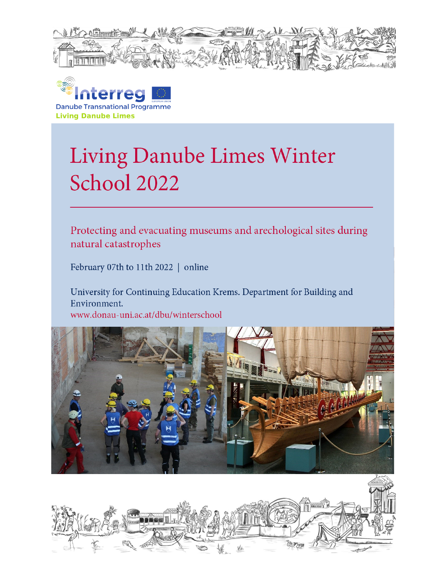



# Living Danube Limes Winter School 2022

Protecting and evacuating museums and arechological sites during natural catastrophes

February 07th to 11th 2022 | online

University for Continuing Education Krems. Department for Building and Environment. www.donau-uni.ac.at/dbu/winterschool



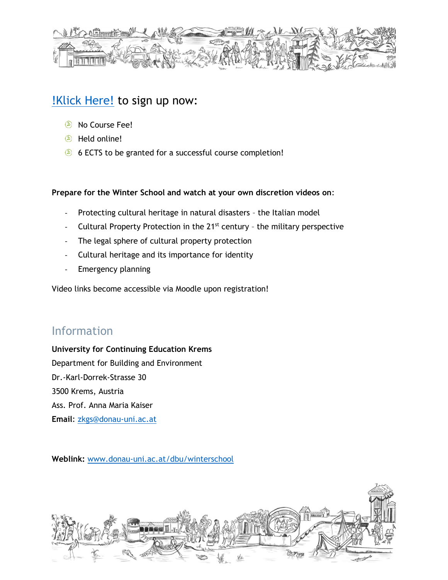

## **Klick Here!** to sign up now:

- No Course Fee!
- **E** Held online!
- 6 ECTS to be granted for a successful course completion!

#### **Prepare for the Winter School and watch at your own discretion videos on**:

- Protecting cultural heritage in natural disasters the Italian model
- Cultural Property Protection in the  $21^{st}$  century the military perspective
- The legal sphere of cultural property protection
- Cultural heritage and its importance for identity
- Emergency planning

Video links become accessible via Moodle upon registration!

### Information

**University for Continuing Education Krems** Department for Building and Environment Dr.-Karl-Dorrek-Strasse 30 3500 Krems, Austria Ass. Prof. Anna Maria Kaiser **Email**: [zkgs@donau-uni.ac.at](mailto:zkgs@donau-uni.ac.at)

**Weblink:** [www.donau-uni.ac.at/dbu/winterschool](http://www.donau-uni.ac.at/dbu/winterschool)

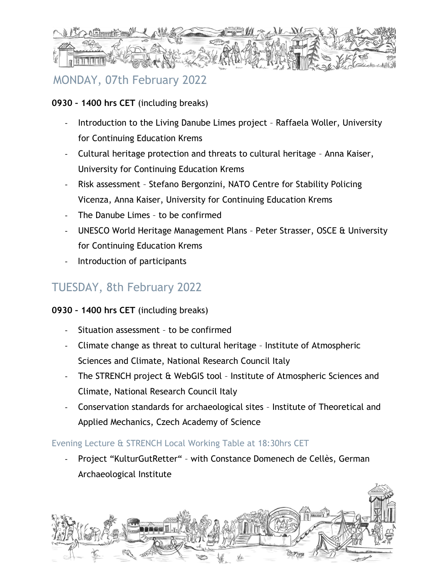

## MONDAY, 07th February 2022

#### **0930 – 1400 hrs CET** (including breaks)

- Introduction to the Living Danube Limes project Raffaela Woller, University for Continuing Education Krems
- Cultural heritage protection and threats to cultural heritage Anna Kaiser, University for Continuing Education Krems
- Risk assessment Stefano Bergonzini, NATO Centre for Stability Policing Vicenza, Anna Kaiser, University for Continuing Education Krems
- The Danube Limes to be confirmed
- UNESCO World Heritage Management Plans Peter Strasser, OSCE & University for Continuing Education Krems
- Introduction of participants

## TUESDAY, 8th February 2022

#### **0930 – 1400 hrs CET** (including breaks)

- Situation assessment to be confirmed
- Climate change as threat to cultural heritage Institute of Atmospheric Sciences and Climate, National Research Council Italy
- The STRENCH project & WebGIS tool Institute of Atmospheric Sciences and Climate, National Research Council Italy
- Conservation standards for archaeological sites Institute of Theoretical and Applied Mechanics, Czech Academy of Science

#### Evening Lecture & STRENCH Local Working Table at 18:30hrs CET

Project "KulturGutRetter" - with Constance Domenech de Cellès, German Archaeological Institute

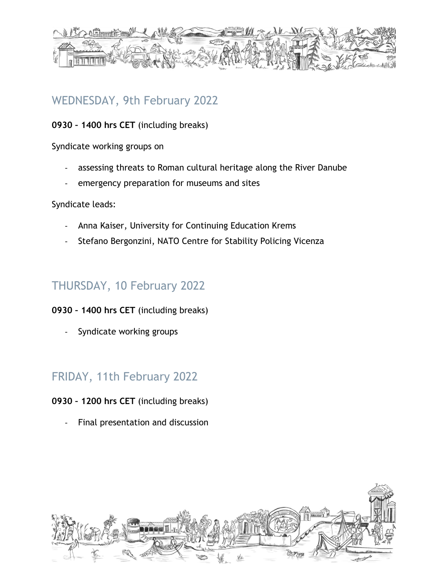

## WEDNESDAY, 9th February 2022

**0930 – 1400 hrs CET** (including breaks)

Syndicate working groups on

- assessing threats to Roman cultural heritage along the River Danube
- emergency preparation for museums and sites

Syndicate leads:

- Anna Kaiser, University for Continuing Education Krems
- Stefano Bergonzini, NATO Centre for Stability Policing Vicenza

## THURSDAY, 10 February 2022

#### **0930 – 1400 hrs CET** (including breaks)

Syndicate working groups

## FRIDAY, 11th February 2022

#### **0930 – 1200 hrs CET** (including breaks)

Final presentation and discussion